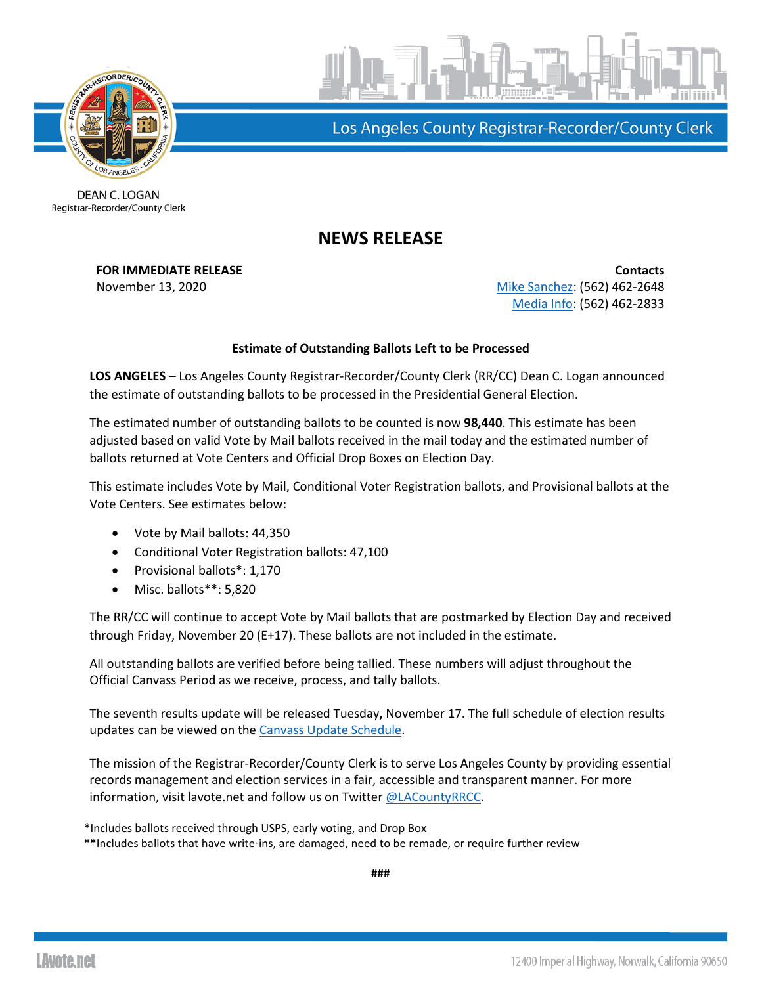



Los Angeles County Registrar-Recorder/County Clerk

DEAN C. LOGAN Registrar-Recorder/County Clerk

## **NEWS RELEASE**

**FOR IMMEDIATE RELEASE Contacts** November 13, 2020 [Mike Sanchez:](mailto:msanchez@rrcc.lacounty.gov) (562) 462-2648 [Media Info:](mailto:mediainfo@rrcc.lacounty.gov) (562) 462-2833

## **Estimate of Outstanding Ballots Left to be Processed**

**LOS ANGELES** – Los Angeles County Registrar-Recorder/County Clerk (RR/CC) Dean C. Logan announced the estimate of outstanding ballots to be processed in the Presidential General Election.

The estimated number of outstanding ballots to be counted is now **98,440**. This estimate has been adjusted based on valid Vote by Mail ballots received in the mail today and the estimated number of ballots returned at Vote Centers and Official Drop Boxes on Election Day.

This estimate includes Vote by Mail, Conditional Voter Registration ballots, and Provisional ballots at the Vote Centers. See estimates below:

- Vote by Mail ballots: 44,350
- Conditional Voter Registration ballots: 47,100
- Provisional ballots\*: 1,170
- Misc. ballots\*\*: 5,820

The RR/CC will continue to accept Vote by Mail ballots that are postmarked by Election Day and received through Friday, November 20 (E+17). These ballots are not included in the estimate.

All outstanding ballots are verified before being tallied. These numbers will adjust throughout the Official Canvass Period as we receive, process, and tally ballots.

The seventh results update will be released Tuesday**,** November 17. The full schedule of election results updates can be viewed on the [Canvass Update Schedule.](https://lavote.net/docs/rrcc/election-info/11032020_canvass-update-schedule.pdf?v=2)

The mission of the Registrar-Recorder/County Clerk is to serve Los Angeles County by providing essential records management and election services in a fair, accessible and transparent manner. For more information, visit lavote.net and follow us on Twitter [@LACountyRRCC.](https://twitter.com/LACountyRRCC)

**\***Includes ballots received through USPS, early voting, and Drop Box **\*\***Includes ballots that have write-ins, are damaged, need to be remade, or require further review

**###**